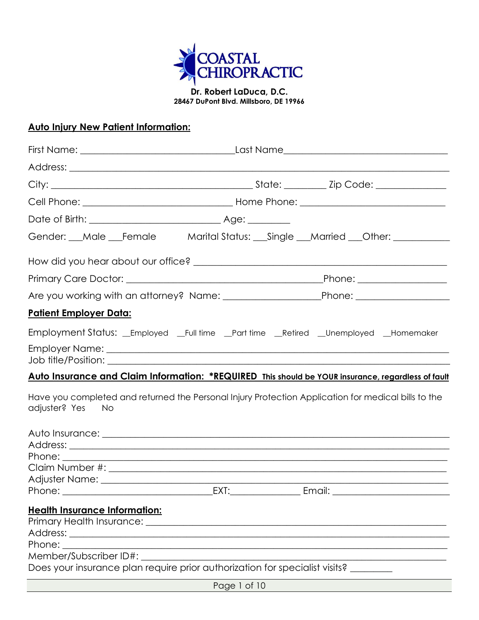

**Dr. Robert LaDuca, D.C. 28467 DuPont Blvd. Millsboro, DE 19966**

### **Auto Injury New Patient Information:**

| Gender: __Male __Female Marital Status: __Single __Married __Other: ____________                                        |                                                                                                                                                                                                                                |        |
|-------------------------------------------------------------------------------------------------------------------------|--------------------------------------------------------------------------------------------------------------------------------------------------------------------------------------------------------------------------------|--------|
|                                                                                                                         |                                                                                                                                                                                                                                |        |
|                                                                                                                         |                                                                                                                                                                                                                                |        |
|                                                                                                                         |                                                                                                                                                                                                                                |        |
| <u> Patient Employer Data:</u>                                                                                          |                                                                                                                                                                                                                                |        |
| Employment Status: __Employed __Full time __Part time __Retired __Unemployed __Homemaker                                |                                                                                                                                                                                                                                |        |
|                                                                                                                         |                                                                                                                                                                                                                                |        |
| Auto Insurance and Claim Information: *REQUIRED This should be YOUR insurance, regardless of fault                      |                                                                                                                                                                                                                                |        |
| Have you completed and returned the Personal Injury Protection Application for medical bills to the<br>adjuster? Yes No |                                                                                                                                                                                                                                |        |
|                                                                                                                         |                                                                                                                                                                                                                                |        |
|                                                                                                                         |                                                                                                                                                                                                                                |        |
|                                                                                                                         |                                                                                                                                                                                                                                |        |
|                                                                                                                         |                                                                                                                                                                                                                                |        |
| Phone:                                                                                                                  | EXT: the contract of the contract of the contract of the contract of the contract of the contract of the contract of the contract of the contract of the contract of the contract of the contract of the contract of the contr | Email: |
| <b>Health Insurance Information:</b>                                                                                    |                                                                                                                                                                                                                                |        |
|                                                                                                                         |                                                                                                                                                                                                                                |        |
|                                                                                                                         |                                                                                                                                                                                                                                |        |
| Phone: <u>New York Banderson</u>                                                                                        | <u> 1989 - Johann Stoff, amerikansk politiker (d. 1989)</u>                                                                                                                                                                    |        |
|                                                                                                                         |                                                                                                                                                                                                                                |        |
| Does your insurance plan require prior authorization for specialist visits? ______                                      |                                                                                                                                                                                                                                |        |
|                                                                                                                         |                                                                                                                                                                                                                                |        |

Page 1 of 10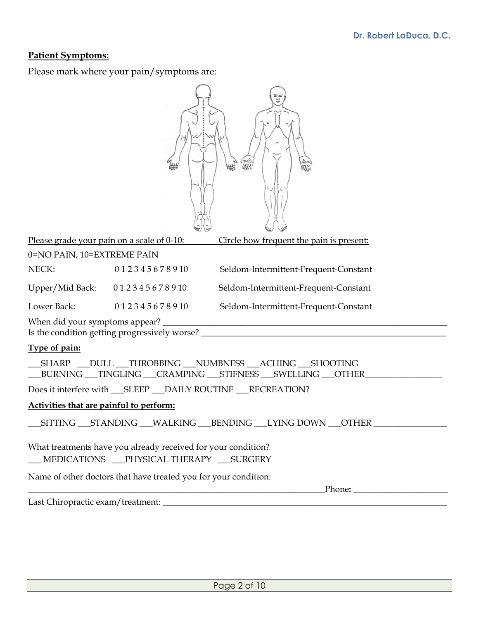### **Patient Symptoms:**

Please mark where your pain/symptoms are:

| Please grade your pain on a scale of 0-10:<br>Circle how frequent the pain is present:                                                        |  |  |  |
|-----------------------------------------------------------------------------------------------------------------------------------------------|--|--|--|
| 0=NO PAIN, 10=EXTREME PAIN                                                                                                                    |  |  |  |
| NECK:<br>0 1 2 3 4 5 6 7 8 9 10<br>Seldom-Intermittent-Frequent-Constant                                                                      |  |  |  |
| Upper/Mid Back: 012345678910<br>Seldom-Intermittent-Frequent-Constant                                                                         |  |  |  |
| Lower Back:<br>012345678910<br>Seldom-Intermittent-Frequent-Constant                                                                          |  |  |  |
| Is the condition getting progressively worse? ___________________________________                                                             |  |  |  |
| Type of pain:                                                                                                                                 |  |  |  |
| __SHARP __DULL __THROBBING __NUMBNESS __ACHING __SHOOTING<br>___BURNING ___TINGLING ___CRAMPING ___STIFNESS ___SWELLING ___OTHER_____________ |  |  |  |
|                                                                                                                                               |  |  |  |
| Activities that are painful to perform:                                                                                                       |  |  |  |
| __SITTING __STANDING __WALKING __BENDING __LYING DOWN __OTHER _________                                                                       |  |  |  |
| What treatments have you already received for your condition?<br>__ MEDICATIONS __PHYSICAL THERAPY __SURGERY                                  |  |  |  |
| Name of other doctors that have treated you for your condition:                                                                               |  |  |  |
| <u> 1989 - Johann Stoff, Amerikaansk politiker (* 1908)</u>                                                                                   |  |  |  |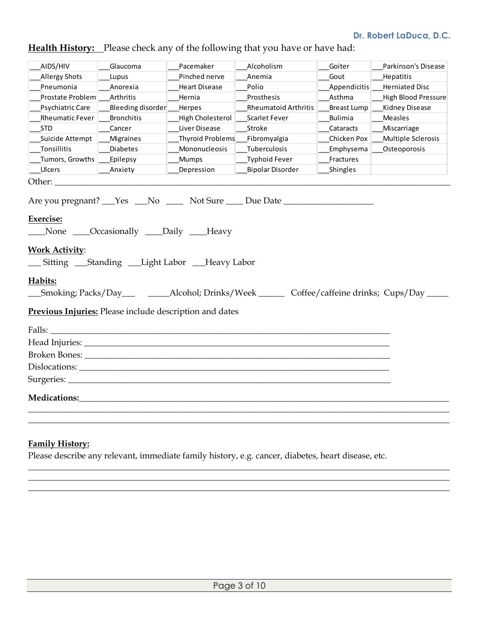|  |  |  |  | <b>Health History:</b> Please check any of the following that you have or have had: |
|--|--|--|--|-------------------------------------------------------------------------------------|
|--|--|--|--|-------------------------------------------------------------------------------------|

| AIDS/HIV                                                                                                                                                                                                                       | Glaucoma                                         | Pacemaker               | Alcoholism                                                                                                                                            | Goiter             | Parkinson's Disease        |
|--------------------------------------------------------------------------------------------------------------------------------------------------------------------------------------------------------------------------------|--------------------------------------------------|-------------------------|-------------------------------------------------------------------------------------------------------------------------------------------------------|--------------------|----------------------------|
| <b>Allergy Shots</b>                                                                                                                                                                                                           | Lupus                                            | Pinched nerve           | Anemia                                                                                                                                                | Gout               | Hepatitis                  |
| Pneumonia                                                                                                                                                                                                                      | Anorexia                                         | <b>Heart Disease</b>    | Polio                                                                                                                                                 | Appendicitis       | <b>Herniated Disc</b>      |
| Prostate Problem                                                                                                                                                                                                               | Arthritis                                        | Hernia                  | Prosthesis                                                                                                                                            | Asthma             | <b>High Blood Pressure</b> |
| Psychiatric Care                                                                                                                                                                                                               | Bleeding disorder                                | Herpes                  | <b>Rheumatoid Arthritis</b>                                                                                                                           | <b>Breast Lump</b> | Kidney Disease             |
| <b>Rheumatic Fever</b>                                                                                                                                                                                                         | <b>Bronchitis</b>                                | High Cholesterol        | Scarlet Fever                                                                                                                                         | Bulimia            | Measles                    |
| <b>STD</b>                                                                                                                                                                                                                     | Cancer                                           | Liver Disease           | Stroke                                                                                                                                                | Cataracts          | Miscarriage                |
| Suicide Attempt                                                                                                                                                                                                                | Migraines                                        | <b>Thyroid Problems</b> | Fibromyalgia                                                                                                                                          | Chicken Pox        | Multiple Sclerosis         |
| Tonsillitis                                                                                                                                                                                                                    | <b>Diabetes</b>                                  | Mononucleosis           | Tuberculosis                                                                                                                                          | Emphysema          | Osteoporosis               |
| Tumors, Growths                                                                                                                                                                                                                | Epilepsy                                         | <b>Mumps</b>            | <b>Typhoid Fever</b>                                                                                                                                  | Fractures          |                            |
| Ulcers                                                                                                                                                                                                                         | Anxiety                                          | Depression              | <b>Bipolar Disorder</b>                                                                                                                               | Shingles           |                            |
| Other: $\_\_$                                                                                                                                                                                                                  |                                                  |                         |                                                                                                                                                       |                    |                            |
| <b>Exercise:</b><br><b>Work Activity:</b><br>__ Sitting ___ Standing ___ Light Labor ___Heavy Labor<br>Habits:                                                                                                                 | None <i>___</i> Occasionally ____Daily ____Heavy |                         | Are you pregnant? Yes No Mo Not Sure Due Date<br>_Smoking; Packs/Day____________Alcohol; Drinks/Week __________ Coffee/caffeine drinks; Cups/Day ____ |                    |                            |
| <b>Previous Injuries:</b> Please include description and dates                                                                                                                                                                 |                                                  |                         |                                                                                                                                                       |                    |                            |
|                                                                                                                                                                                                                                |                                                  |                         |                                                                                                                                                       |                    |                            |
|                                                                                                                                                                                                                                |                                                  |                         |                                                                                                                                                       |                    |                            |
| Broken Bones: The Second Second Second Second Second Second Second Second Second Second Second Second Second Second Second Second Second Second Second Second Second Second Second Second Second Second Second Second Second S |                                                  |                         |                                                                                                                                                       |                    |                            |
|                                                                                                                                                                                                                                |                                                  |                         |                                                                                                                                                       |                    |                            |
|                                                                                                                                                                                                                                |                                                  |                         |                                                                                                                                                       |                    |                            |
|                                                                                                                                                                                                                                |                                                  |                         |                                                                                                                                                       |                    |                            |
| <b>Medications:</b>                                                                                                                                                                                                            |                                                  |                         |                                                                                                                                                       |                    |                            |
|                                                                                                                                                                                                                                |                                                  |                         |                                                                                                                                                       |                    |                            |
|                                                                                                                                                                                                                                |                                                  |                         |                                                                                                                                                       |                    |                            |

### **Family History:**

Please describe any relevant, immediate family history, e.g. cancer, diabetes, heart disease, etc.

**\_\_\_\_\_\_\_\_\_\_\_\_\_\_\_\_\_\_\_\_\_\_\_\_\_\_\_\_\_\_\_\_\_\_\_\_\_\_\_\_\_\_\_\_\_\_\_\_\_\_\_\_\_\_\_\_\_\_\_\_\_\_\_\_\_\_\_\_\_\_\_\_\_\_\_\_\_\_\_\_\_\_\_\_\_\_\_\_\_\_\_\_\_\_\_\_\_\_ \_\_\_\_\_\_\_\_\_\_\_\_\_\_\_\_\_\_\_\_\_\_\_\_\_\_\_\_\_\_\_\_\_\_\_\_\_\_\_\_\_\_\_\_\_\_\_\_\_\_\_\_\_\_\_\_\_\_\_\_\_\_\_\_\_\_\_\_\_\_\_\_\_\_\_\_\_\_\_\_\_\_\_\_\_\_\_\_\_\_\_\_\_\_\_\_\_\_ \_\_\_\_\_\_\_\_\_\_\_\_\_\_\_\_\_\_\_\_\_\_\_\_\_\_\_\_\_\_\_\_\_\_\_\_\_\_\_\_\_\_\_\_\_\_\_\_\_\_\_\_\_\_\_\_\_\_\_\_\_\_\_\_\_\_\_\_\_\_\_\_\_\_\_\_\_\_\_\_\_\_\_\_\_\_\_\_\_\_\_\_\_\_\_\_\_\_**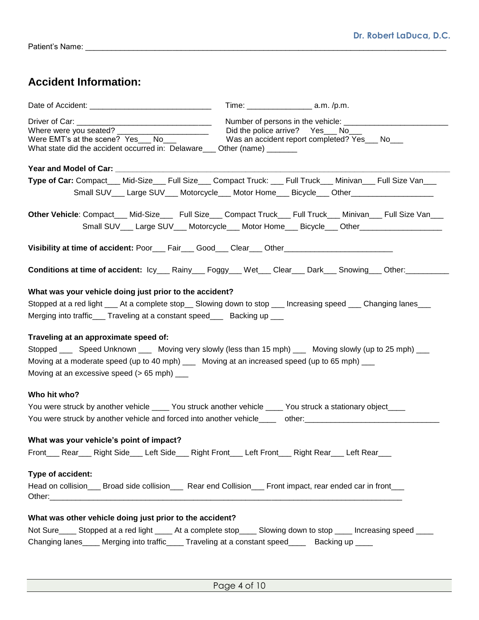## **Accident Information:**

| Where were you seated? ________________________<br>Were EMT's at the scene? Yes___ No<br>What state did the accident occurred in: Delaware___ Other (name) _______                                                                                                                                      | Did the police arrive?  Yes___ No___<br>Was an accident report completed? Yes___ No___ |  |
|---------------------------------------------------------------------------------------------------------------------------------------------------------------------------------------------------------------------------------------------------------------------------------------------------------|----------------------------------------------------------------------------------------|--|
| Year and Model of Car: ___________________                                                                                                                                                                                                                                                              |                                                                                        |  |
| Type of Car: Compact___ Mid-Size___ Full Size___ Compact Truck: ___ Full Truck___ Minivan___ Full Size Van___<br>Small SUV___ Large SUV___ Motorcycle___ Motor Home___ Bicycle___ Other_________________                                                                                                |                                                                                        |  |
| Other Vehicle: Compact___ Mid-Size____ Full Size___ Compact Truck___ Full Truck___ Minivan___ Full Size Van___<br>Small SUV___ Large SUV___ Motorcycle___ Motor Home___ Bicycle___ Other_________________                                                                                               |                                                                                        |  |
| Visibility at time of accident: Poor___ Fair___ Good___ Clear___ Other_____________________________                                                                                                                                                                                                     |                                                                                        |  |
| Conditions at time of accident: lcy____Rainy____Foggy____Wet___Clear____Dark____Snowing___Other:__________                                                                                                                                                                                              |                                                                                        |  |
| What was your vehicle doing just prior to the accident?                                                                                                                                                                                                                                                 |                                                                                        |  |
| Stopped at a red light <sub>___</sub> __ At a complete stop____ Slowing down to stop ____ Increasing speed ____ Changing lanes____                                                                                                                                                                      |                                                                                        |  |
| Merging into traffic___ Traveling at a constant speed___ Backing up ___                                                                                                                                                                                                                                 |                                                                                        |  |
| Traveling at an approximate speed of:<br>Stopped _____ Speed Unknown _____ Moving very slowly (less than 15 mph) ____ Moving slowly (up to 25 mph) ___<br>Moving at a moderate speed (up to 40 mph) ____ Moving at an increased speed (up to 65 mph) ___<br>Moving at an excessive speed (> 65 mph) ___ |                                                                                        |  |
| Who hit who?                                                                                                                                                                                                                                                                                            |                                                                                        |  |
| You were struck by another vehicle _____ You struck another vehicle _____ You struck a stationary object____<br>You were struck by another vehicle and forced into another vehicle_____ other:________________________________                                                                          |                                                                                        |  |
| What was your vehicle's point of impact?<br>Front___ Rear___ Right Side___ Left Side___ Right Front___ Left Front___ Right Rear___ Left Rear___                                                                                                                                                         |                                                                                        |  |
| Type of accident:<br>Head on collision ___ Broad side collision ____ Rear end Collision ___ Front impact, rear ended car in front ___                                                                                                                                                                   |                                                                                        |  |
| What was other vehicle doing just prior to the accident?                                                                                                                                                                                                                                                |                                                                                        |  |
| Not Sure Stopped at a red light ______ At a complete stop ______ Slowing down to stop ______ Increasing speed _____                                                                                                                                                                                     |                                                                                        |  |
| Changing lanes_____ Merging into traffic_____ Traveling at a constant speed_____ Backing up ____                                                                                                                                                                                                        |                                                                                        |  |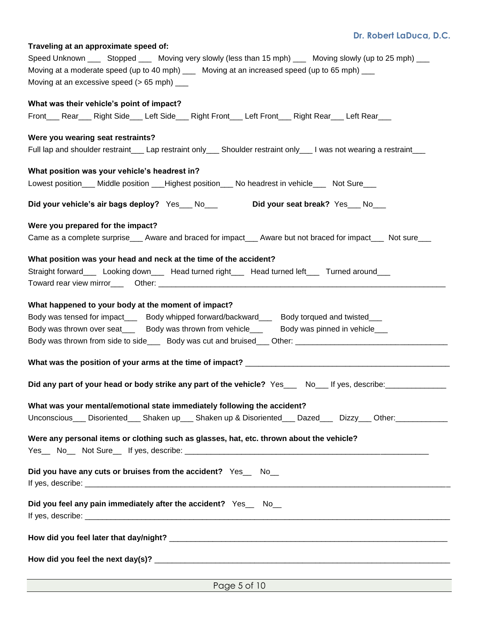### **Traveling at an approximate speed of:**

| Speed Unknown _____ Stopped _____ Moving very slowly (less than 15 mph) ____ Moving slowly (up to 25 mph) ___        |  |  |  |  |
|----------------------------------------------------------------------------------------------------------------------|--|--|--|--|
| Moving at a moderate speed (up to 40 mph) __ Moving at an increased speed (up to 65 mph) __                          |  |  |  |  |
| Moving at an excessive speed ( $> 65$ mph) $\_\_$                                                                    |  |  |  |  |
|                                                                                                                      |  |  |  |  |
| What was their vehicle's point of impact?                                                                            |  |  |  |  |
| Front___ Rear___ Right Side___ Left Side___ Right Front___ Left Front___ Right Rear___ Left Rear___                  |  |  |  |  |
|                                                                                                                      |  |  |  |  |
| Were you wearing seat restraints?                                                                                    |  |  |  |  |
| Full lap and shoulder restraint___ Lap restraint only___ Shoulder restraint only___ I was not wearing a restraint___ |  |  |  |  |
| What position was your vehicle's headrest in?                                                                        |  |  |  |  |
| Lowest position___ Middle position ___Highest position___ No headrest in vehicle___ Not Sure___                      |  |  |  |  |
|                                                                                                                      |  |  |  |  |
| Did your seat break? Yes__No__<br>Did your vehicle's air bags deploy? Yes___ No___                                   |  |  |  |  |
| Were you prepared for the impact?                                                                                    |  |  |  |  |
| Came as a complete surprise___ Aware and braced for impact___ Aware but not braced for impact___ Not sure___         |  |  |  |  |
|                                                                                                                      |  |  |  |  |
| What position was your head and neck at the time of the accident?                                                    |  |  |  |  |
| Straight forward_____ Looking down_____ Head turned right_____ Head turned left____ Turned around___                 |  |  |  |  |
|                                                                                                                      |  |  |  |  |
|                                                                                                                      |  |  |  |  |
| What happened to your body at the moment of impact?                                                                  |  |  |  |  |
| Body was tensed for impact_____ Body whipped forward/backward____ Body torqued and twisted___                        |  |  |  |  |
| Body was thrown over seat____ Body was thrown from vehicle____ Body was pinned in vehicle___                         |  |  |  |  |
|                                                                                                                      |  |  |  |  |
|                                                                                                                      |  |  |  |  |
|                                                                                                                      |  |  |  |  |
|                                                                                                                      |  |  |  |  |
| Did any part of your head or body strike any part of the vehicle? Yes___ No___ If yes, describe:______________       |  |  |  |  |
|                                                                                                                      |  |  |  |  |
| What was your mental/emotional state immediately following the accident?                                             |  |  |  |  |
| Unconscious___ Disoriented___ Shaken up___ Shaken up & Disoriented___ Dazed___ Dizzy___ Other:___________            |  |  |  |  |
|                                                                                                                      |  |  |  |  |
| Were any personal items or clothing such as glasses, hat, etc. thrown about the vehicle?                             |  |  |  |  |
|                                                                                                                      |  |  |  |  |
|                                                                                                                      |  |  |  |  |
| Did you have any cuts or bruises from the accident? Yes_ No_                                                         |  |  |  |  |
|                                                                                                                      |  |  |  |  |
|                                                                                                                      |  |  |  |  |
| Did you feel any pain immediately after the accident? Yes_ No_                                                       |  |  |  |  |
|                                                                                                                      |  |  |  |  |
|                                                                                                                      |  |  |  |  |
|                                                                                                                      |  |  |  |  |
|                                                                                                                      |  |  |  |  |
|                                                                                                                      |  |  |  |  |
|                                                                                                                      |  |  |  |  |

Page 5 of 10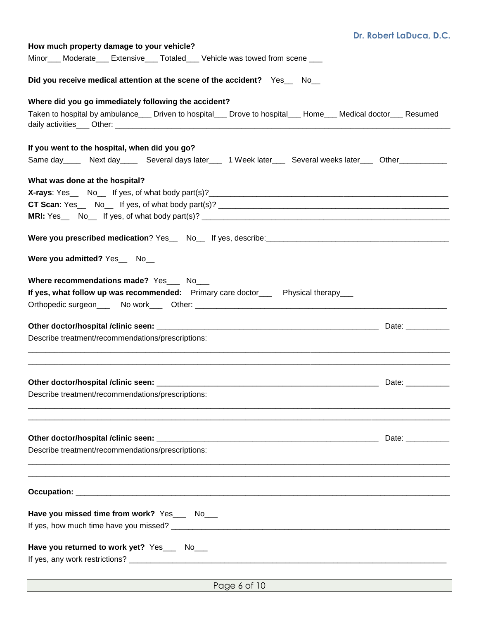| How much property damage to your vehicle?                                                                                  |  |  |  |
|----------------------------------------------------------------------------------------------------------------------------|--|--|--|
| Minor___ Moderate___ Extensive___ Totaled___ Vehicle was towed from scene ___                                              |  |  |  |
| Did you receive medical attention at the scene of the accident? Yes_ No_                                                   |  |  |  |
| Where did you go immediately following the accident?                                                                       |  |  |  |
| Taken to hospital by ambulance___ Driven to hospital___ Drove to hospital___ Home___ Medical doctor___ Resumed             |  |  |  |
|                                                                                                                            |  |  |  |
| If you went to the hospital, when did you go?                                                                              |  |  |  |
| Same day ______ Next day _______ Several days later _____ 1 Week later _____ Several weeks later _____ Other _____________ |  |  |  |
| What was done at the hospital?                                                                                             |  |  |  |
|                                                                                                                            |  |  |  |
|                                                                                                                            |  |  |  |
|                                                                                                                            |  |  |  |
|                                                                                                                            |  |  |  |
| Were you admitted? Yes__ No__                                                                                              |  |  |  |
| Where recommendations made? Yes___ No___                                                                                   |  |  |  |
| If yes, what follow up was recommended: Primary care doctor___ Physical therapy___                                         |  |  |  |
|                                                                                                                            |  |  |  |
|                                                                                                                            |  |  |  |
| Describe treatment/recommendations/prescriptions:                                                                          |  |  |  |
|                                                                                                                            |  |  |  |
|                                                                                                                            |  |  |  |
|                                                                                                                            |  |  |  |
| Describe treatment/recommendations/prescriptions:                                                                          |  |  |  |
|                                                                                                                            |  |  |  |
|                                                                                                                            |  |  |  |
| Describe treatment/recommendations/prescriptions:                                                                          |  |  |  |
|                                                                                                                            |  |  |  |
|                                                                                                                            |  |  |  |
|                                                                                                                            |  |  |  |
|                                                                                                                            |  |  |  |
| Have you missed time from work? Yes___ No___                                                                               |  |  |  |
|                                                                                                                            |  |  |  |
|                                                                                                                            |  |  |  |
| Have you returned to work yet? Yes___ No___                                                                                |  |  |  |
|                                                                                                                            |  |  |  |
|                                                                                                                            |  |  |  |

Page 6 of 10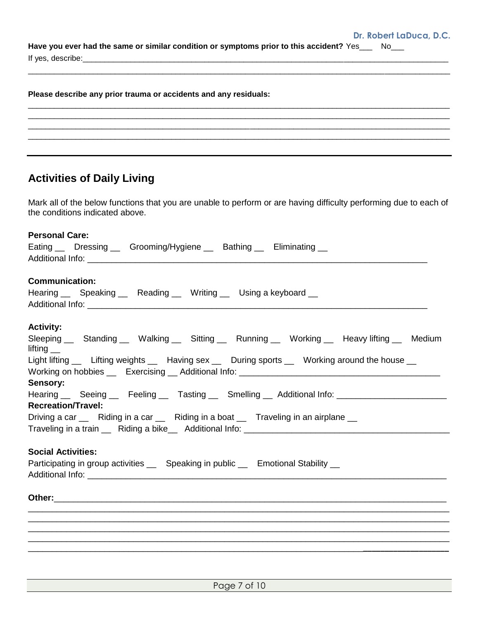**Have you ever had the same or similar condition or symptoms prior to this accident?** Yes\_\_\_ No\_\_\_ If yes, describe:

\_\_\_\_\_\_\_\_\_\_\_\_\_\_\_\_\_\_\_\_\_\_\_\_\_\_\_\_\_\_\_\_\_\_\_\_\_\_\_\_\_\_\_\_\_\_\_\_\_\_\_\_\_\_\_\_\_\_\_\_\_\_\_\_\_\_\_\_\_\_\_\_\_\_\_\_\_\_\_\_\_\_\_\_\_\_\_\_\_\_\_\_\_\_\_\_\_

 $\Box$ \_\_\_\_\_\_\_\_\_\_\_\_\_\_\_\_\_\_\_\_\_\_\_\_\_\_\_\_\_\_\_\_\_\_\_\_\_\_\_\_\_\_\_\_\_\_\_\_\_\_\_\_\_\_\_\_\_\_\_\_\_\_\_\_\_\_\_\_\_\_\_\_\_\_\_\_\_\_\_\_\_\_\_\_\_\_\_\_\_\_\_\_\_\_\_\_\_ \_\_\_\_\_\_\_\_\_\_\_\_\_\_\_\_\_\_\_\_\_\_\_\_\_\_\_\_\_\_\_\_\_\_\_\_\_\_\_\_\_\_\_\_\_\_\_\_\_\_\_\_\_\_\_\_\_\_\_\_\_\_\_\_\_\_\_\_\_\_\_\_\_\_\_\_\_\_\_\_\_\_\_\_\_\_\_\_\_\_\_\_\_\_\_\_\_  $\Box$ 

**Please describe any prior trauma or accidents and any residuals:**

# **Activities of Daily Living**

Mark all of the below functions that you are unable to perform or are having difficulty performing due to each of the conditions indicated above.

| <b>Personal Care:</b><br>Eating __ Dressing __ Grooming/Hygiene __ Bathing __ Eliminating __              |
|-----------------------------------------------------------------------------------------------------------|
|                                                                                                           |
| <b>Communication:</b>                                                                                     |
| Hearing __ Speaking __ Reading __ Writing __ Using a keyboard __                                          |
| <b>Activity:</b>                                                                                          |
| Sleeping Gtanding Cullusting Culting Running Culting Culting Attawy lifting Attandium<br>lifting $\equiv$ |
| Light lifting __ Lifting weights __ Having sex __ During sports __ Working around the house __            |
|                                                                                                           |
| Sensory:                                                                                                  |
| Hearing Geeing Feeling Tasting Smelling Additional Info: Communication                                    |
| <b>Recreation/Travel:</b>                                                                                 |
| Driving a car __ Riding in a car __ Riding in a boat __ Traveling in an airplane __                       |
|                                                                                                           |
| <b>Social Activities:</b>                                                                                 |
| Participating in group activities __ Speaking in public __ Emotional Stability __                         |
|                                                                                                           |
|                                                                                                           |
|                                                                                                           |
|                                                                                                           |
|                                                                                                           |
|                                                                                                           |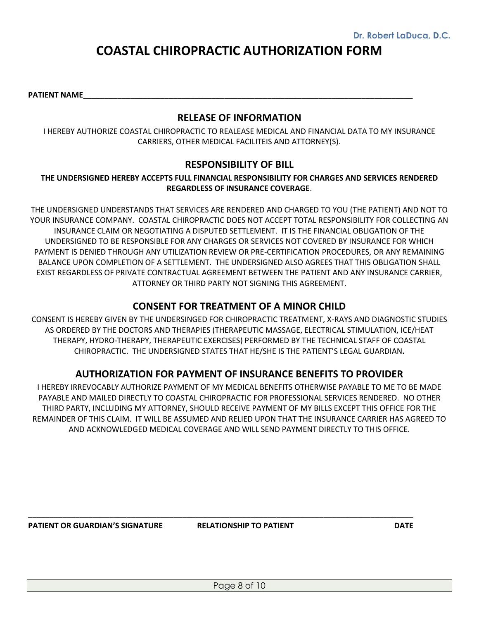# **COASTAL CHIROPRACTIC AUTHORIZATION FORM**

PATIENT NAME

#### **RELEASE OF INFORMATION**

I HEREBY AUTHORIZE COASTAL CHIROPRACTIC TO REALEASE MEDICAL AND FINANCIAL DATA TO MY INSURANCE CARRIERS, OTHER MEDICAL FACILITEIS AND ATTORNEY(S).

### **RESPONSIBILITY OF BILL**

#### **THE UNDERSIGNED HEREBY ACCEPTS FULL FINANCIAL RESPONSIBILITY FOR CHARGES AND SERVICES RENDERED REGARDLESS OF INSURANCE COVERAGE**.

THE UNDERSIGNED UNDERSTANDS THAT SERVICES ARE RENDERED AND CHARGED TO YOU (THE PATIENT) AND NOT TO YOUR INSURANCE COMPANY. COASTAL CHIROPRACTIC DOES NOT ACCEPT TOTAL RESPONSIBILITY FOR COLLECTING AN INSURANCE CLAIM OR NEGOTIATING A DISPUTED SETTLEMENT. IT IS THE FINANCIAL OBLIGATION OF THE UNDERSIGNED TO BE RESPONSIBLE FOR ANY CHARGES OR SERVICES NOT COVERED BY INSURANCE FOR WHICH PAYMENT IS DENIED THROUGH ANY UTILIZATION REVIEW OR PRE-CERTIFICATION PROCEDURES, OR ANY REMAINING BALANCE UPON COMPLETION OF A SETTLEMENT. THE UNDERSIGNED ALSO AGREES THAT THIS OBLIGATION SHALL EXIST REGARDLESS OF PRIVATE CONTRACTUAL AGREEMENT BETWEEN THE PATIENT AND ANY INSURANCE CARRIER, ATTORNEY OR THIRD PARTY NOT SIGNING THIS AGREEMENT.

### **CONSENT FOR TREATMENT OF A MINOR CHILD**

CONSENT IS HEREBY GIVEN BY THE UNDERSINGED FOR CHIROPRACTIC TREATMENT, X-RAYS AND DIAGNOSTIC STUDIES AS ORDERED BY THE DOCTORS AND THERAPIES (THERAPEUTIC MASSAGE, ELECTRICAL STIMULATION, ICE/HEAT THERAPY, HYDRO-THERAPY, THERAPEUTIC EXERCISES) PERFORMED BY THE TECHNICAL STAFF OF COASTAL CHIROPRACTIC. THE UNDERSIGNED STATES THAT HE/SHE IS THE PATIENT'S LEGAL GUARDIAN**.**

### **AUTHORIZATION FOR PAYMENT OF INSURANCE BENEFITS TO PROVIDER**

I HEREBY IRREVOCABLY AUTHORIZE PAYMENT OF MY MEDICAL BENEFITS OTHERWISE PAYABLE TO ME TO BE MADE PAYABLE AND MAILED DIRECTLY TO COASTAL CHIROPRACTIC FOR PROFESSIONAL SERVICES RENDERED. NO OTHER THIRD PARTY, INCLUDING MY ATTORNEY, SHOULD RECEIVE PAYMENT OF MY BILLS EXCEPT THIS OFFICE FOR THE REMAINDER OF THIS CLAIM. IT WILL BE ASSUMED AND RELIED UPON THAT THE INSURANCE CARRIER HAS AGREED TO AND ACKNOWLEDGED MEDICAL COVERAGE AND WILL SEND PAYMENT DIRECTLY TO THIS OFFICE.

**PATIENT OR GUARDIAN'S SIGNATURE RELATIONSHIP TO PATIENT DATE**

\_\_\_\_\_\_\_\_\_\_\_\_\_\_\_\_\_\_\_\_\_\_\_\_\_\_\_\_\_\_\_\_\_\_\_\_\_\_\_\_\_\_\_\_\_\_\_\_\_\_\_\_\_\_\_\_\_\_\_\_\_\_\_\_\_\_\_\_\_\_\_\_\_\_\_\_\_\_\_\_\_\_\_\_\_\_\_\_\_\_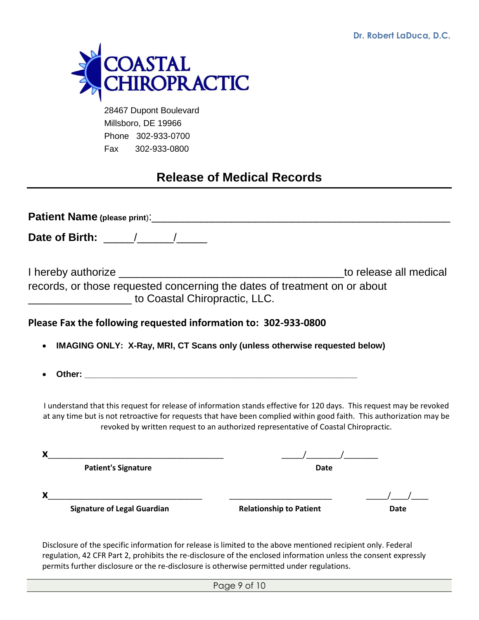

 28467 Dupont Boulevard Millsboro, DE 19966 Phone 302-933-0700 Fax 302-933-0800

# **Release of Medical Records**

| Date of Birth: $\frac{1}{\sqrt{1-\frac{1}{2}}}\frac{1}{\sqrt{1-\frac{1}{2}}}\frac{1}{\sqrt{1-\frac{1}{2}}}\frac{1}{\sqrt{1-\frac{1}{2}}}\frac{1}{\sqrt{1-\frac{1}{2}}}\frac{1}{\sqrt{1-\frac{1}{2}}}\frac{1}{\sqrt{1-\frac{1}{2}}}\frac{1}{\sqrt{1-\frac{1}{2}}}\frac{1}{\sqrt{1-\frac{1}{2}}}\frac{1}{\sqrt{1-\frac{1}{2}}}\frac{1}{\sqrt{1-\frac{1}{2}}}\frac{1}{\sqrt{1-\frac{1}{2}}}\frac{1}{\sqrt{1-\frac{1$ |                                                                                     |                        |
|-------------------------------------------------------------------------------------------------------------------------------------------------------------------------------------------------------------------------------------------------------------------------------------------------------------------------------------------------------------------------------------------------------------------|-------------------------------------------------------------------------------------|------------------------|
| records, or those requested concerning the dates of treatment on or about<br>to Coastal Chiropractic, LLC.                                                                                                                                                                                                                                                                                                        |                                                                                     | to release all medical |
| Please Fax the following requested information to: 302-933-0800                                                                                                                                                                                                                                                                                                                                                   |                                                                                     |                        |
| IMAGING ONLY: X-Ray, MRI, CT Scans only (unless otherwise requested below)                                                                                                                                                                                                                                                                                                                                        |                                                                                     |                        |
|                                                                                                                                                                                                                                                                                                                                                                                                                   |                                                                                     |                        |
| I understand that this request for release of information stands effective for 120 days. This request may be revoked<br>at any time but is not retroactive for requests that have been complied within good faith. This authorization may be                                                                                                                                                                      | revoked by written request to an authorized representative of Coastal Chiropractic. |                        |
| X                                                                                                                                                                                                                                                                                                                                                                                                                 |                                                                                     |                        |
| <b>Patient's Signature</b>                                                                                                                                                                                                                                                                                                                                                                                        | <b>Date</b>                                                                         |                        |
| x.                                                                                                                                                                                                                                                                                                                                                                                                                |                                                                                     |                        |
| <b>Signature of Legal Guardian</b>                                                                                                                                                                                                                                                                                                                                                                                | <b>Relationship to Patient</b>                                                      | Date                   |
|                                                                                                                                                                                                                                                                                                                                                                                                                   |                                                                                     |                        |

Disclosure of the specific information for release is limited to the above mentioned recipient only. Federal regulation, 42 CFR Part 2, prohibits the re-disclosure of the enclosed information unless the consent expressly permits further disclosure or the re-disclosure is otherwise permitted under regulations.

Page 9 of 10